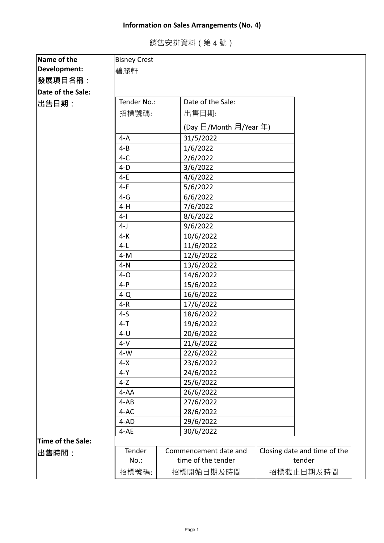## **Information on Sales Arrangements (No. 4)**

銷售安排資料(第 4 號)

| Name of the       | <b>Bisney Crest</b>              |  |                        |                              |  |
|-------------------|----------------------------------|--|------------------------|------------------------------|--|
| Development:      | 碧麗軒                              |  |                        |                              |  |
| ∣發展項目名稱:          |                                  |  |                        |                              |  |
| Date of the Sale: |                                  |  |                        |                              |  |
| 出售日期:             | Tender No.:<br>Date of the Sale: |  |                        |                              |  |
|                   | 招標號碼:                            |  | 出售日期:                  |                              |  |
|                   |                                  |  | (Day 日/Month 月/Year 年) |                              |  |
|                   |                                  |  |                        |                              |  |
|                   | $4-A$                            |  | 31/5/2022              |                              |  |
|                   | $4 - B$                          |  | 1/6/2022               |                              |  |
|                   | $4-C$                            |  | 2/6/2022               |                              |  |
|                   | $4-D$                            |  | 3/6/2022               |                              |  |
|                   | $4-E$                            |  | 4/6/2022               |                              |  |
|                   | $4-F$                            |  | 5/6/2022               |                              |  |
|                   | $4-G$                            |  | 6/6/2022               |                              |  |
|                   | $4-H$                            |  | 7/6/2022               |                              |  |
|                   | $4 - 1$                          |  | 8/6/2022               |                              |  |
|                   | $4-J$                            |  | 9/6/2022               |                              |  |
|                   | $4-K$                            |  | 10/6/2022              |                              |  |
|                   | $4-L$                            |  | 11/6/2022              |                              |  |
|                   | $4-M$                            |  | 12/6/2022              |                              |  |
|                   | $4-N$                            |  | 13/6/2022              |                              |  |
|                   | $4-0$                            |  | 14/6/2022              |                              |  |
|                   | $4-P$                            |  | 15/6/2022              |                              |  |
|                   | $4-Q$                            |  | 16/6/2022              |                              |  |
|                   | $4-R$                            |  | 17/6/2022              |                              |  |
|                   | $4-5$                            |  | 18/6/2022              |                              |  |
|                   | $4 - T$                          |  | 19/6/2022              |                              |  |
|                   | $4-U$                            |  | 20/6/2022              |                              |  |
|                   | $4-V$                            |  | 21/6/2022              |                              |  |
|                   | $4-W$                            |  | 22/6/2022              |                              |  |
|                   | $4-X$                            |  | 23/6/2022              |                              |  |
|                   | $4-Y$                            |  | 24/6/2022              |                              |  |
|                   | $4-Z$                            |  | 25/6/2022              |                              |  |
|                   | $4 - AA$                         |  | 26/6/2022              |                              |  |
|                   | $4-AB$                           |  | 27/6/2022              |                              |  |
|                   | 4-AC                             |  | 28/6/2022              |                              |  |
|                   | 4-AD                             |  | 29/6/2022              |                              |  |
|                   | $4 - AE$                         |  | 30/6/2022              |                              |  |
| Time of the Sale: |                                  |  |                        |                              |  |
| 出售時間:             | Tender                           |  | Commencement date and  | Closing date and time of the |  |
|                   | No.:                             |  | time of the tender     | tender                       |  |
|                   | 招標號碼:                            |  | 招標開始日期及時間              | 招標截止日期及時間                    |  |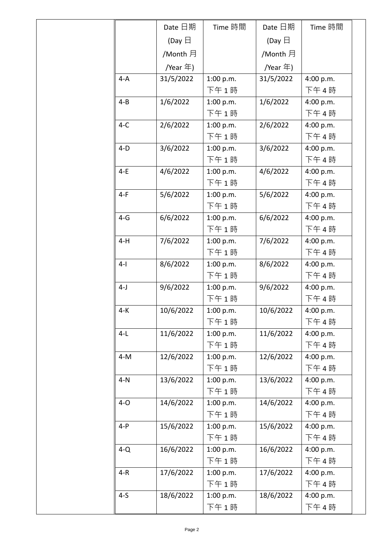|         | Date 日期          | Time 時間   | Date 日期          | Time 時間   |
|---------|------------------|-----------|------------------|-----------|
|         | (Day $\boxminus$ |           | (Day $\boxminus$ |           |
|         | /Month 月         |           | /Month 月         |           |
|         | /Year 年)         |           | /Year 年)         |           |
| $4-A$   | 31/5/2022        | 1:00 p.m. | 31/5/2022        | 4:00 p.m. |
|         |                  | 下午1時      |                  | 下午4時      |
| $4 - B$ | 1/6/2022         | 1:00 p.m. | 1/6/2022         | 4:00 p.m. |
|         |                  | 下午1時      |                  | 下午4時      |
| $4-C$   | 2/6/2022         | 1:00 p.m. | 2/6/2022         | 4:00 p.m. |
|         |                  | 下午1時      |                  | 下午4時      |
| $4-D$   | 3/6/2022         | 1:00 p.m. | 3/6/2022         | 4:00 p.m. |
|         |                  | 下午1時      |                  | 下午4時      |
| $4-E$   | 4/6/2022         | 1:00 p.m. | 4/6/2022         | 4:00 p.m. |
|         |                  | 下午1時      |                  | 下午4時      |
| $4-F$   | 5/6/2022         | 1:00 p.m. | 5/6/2022         | 4:00 p.m. |
|         |                  | 下午1時      |                  | 下午4時      |
| $4-G$   | 6/6/2022         | 1:00 p.m. | 6/6/2022         | 4:00 p.m. |
|         |                  | 下午1時      |                  | 下午4時      |
| $4-H$   | 7/6/2022         | 1:00 p.m. | 7/6/2022         | 4:00 p.m. |
|         |                  | 下午1時      |                  | 下午4時      |
| $4-1$   | 8/6/2022         | 1:00 p.m. | 8/6/2022         | 4:00 p.m. |
|         |                  | 下午1時      |                  | 下午4時      |
| $4-J$   | 9/6/2022         | 1:00 p.m. | 9/6/2022         | 4:00 p.m. |
|         |                  | 下午 1 時    |                  | 下午 4 時    |
| 4-K     | 10/6/2022        | 1:00 p.m. | 10/6/2022        | 4:00 p.m. |
|         |                  | 下午1時      |                  | 下午4時      |
| $4-L$   | 11/6/2022        | 1:00 p.m. | 11/6/2022        | 4:00 p.m. |
|         |                  | 下午1時      |                  | 下午4時      |
| $4-M$   | 12/6/2022        | 1:00 p.m. | 12/6/2022        | 4:00 p.m. |
|         |                  | 下午1時      |                  | 下午4時      |
| $4-N$   | 13/6/2022        | 1:00 p.m. | 13/6/2022        | 4:00 p.m. |
|         |                  | 下午1時      |                  | 下午4時      |
| $4-0$   | 14/6/2022        | 1:00 p.m. | 14/6/2022        | 4:00 p.m. |
|         |                  | 下午1時      |                  | 下午4時      |
| $4-P$   | 15/6/2022        | 1:00 p.m. | 15/6/2022        | 4:00 p.m. |
|         |                  | 下午1時      |                  | 下午4時      |
| $4-Q$   | 16/6/2022        | 1:00 p.m. | 16/6/2022        | 4:00 p.m. |
|         |                  | 下午 1 時    |                  | 下午4時      |
| $4-R$   | 17/6/2022        | 1:00 p.m. | 17/6/2022        | 4:00 p.m. |
|         |                  | 下午 1 時    |                  | 下午4時      |
| $4-5$   | 18/6/2022        | 1:00 p.m. | 18/6/2022        | 4:00 p.m. |
|         |                  | 下午 1 時    |                  | 下午4時      |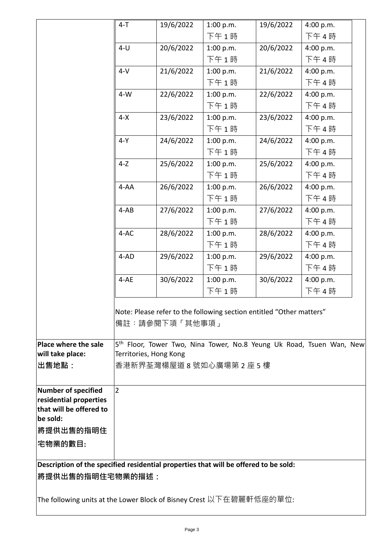|                                                                                      | $4 - T$        | 19/6/2022                                                            | 1:00 p.m. | 19/6/2022 | 4:00 p.m.                                                                        |
|--------------------------------------------------------------------------------------|----------------|----------------------------------------------------------------------|-----------|-----------|----------------------------------------------------------------------------------|
|                                                                                      |                |                                                                      | 下午1時      |           | 下午4時                                                                             |
|                                                                                      | $4-U$          | 20/6/2022                                                            | 1:00 p.m. | 20/6/2022 | 4:00 p.m.                                                                        |
|                                                                                      |                |                                                                      | 下午1時      |           | 下午4時                                                                             |
|                                                                                      | $4-V$          | 21/6/2022                                                            | 1:00 p.m. | 21/6/2022 | 4:00 p.m.                                                                        |
|                                                                                      |                |                                                                      | 下午1時      |           | 下午4時                                                                             |
|                                                                                      | $4-W$          | 22/6/2022                                                            | 1:00 p.m. | 22/6/2022 | 4:00 p.m.                                                                        |
|                                                                                      |                |                                                                      | 下午1時      |           | 下午4時                                                                             |
|                                                                                      | $4-X$          | 23/6/2022                                                            | 1:00 p.m. | 23/6/2022 | 4:00 p.m.                                                                        |
|                                                                                      |                |                                                                      | 下午1時      |           | 下午4時                                                                             |
|                                                                                      |                |                                                                      |           |           |                                                                                  |
|                                                                                      | $4-Y$          | 24/6/2022                                                            | 1:00 p.m. | 24/6/2022 | 4:00 p.m.                                                                        |
|                                                                                      |                |                                                                      | 下午1時      |           | 下午4時                                                                             |
|                                                                                      | $4-Z$          | 25/6/2022                                                            | 1:00 p.m. | 25/6/2022 | 4:00 p.m.                                                                        |
|                                                                                      |                |                                                                      | 下午1時      |           | 下午4時                                                                             |
|                                                                                      | $4 - AA$       | 26/6/2022                                                            | 1:00 p.m. | 26/6/2022 | 4:00 p.m.                                                                        |
|                                                                                      |                |                                                                      | 下午1時      |           | 下午4時                                                                             |
|                                                                                      | $4-AB$         | 27/6/2022                                                            | 1:00 p.m. | 27/6/2022 | 4:00 p.m.                                                                        |
|                                                                                      |                |                                                                      | 下午1時      |           | 下午4時                                                                             |
|                                                                                      | 4-AC           | 28/6/2022                                                            | 1:00 p.m. | 28/6/2022 | 4:00 p.m.                                                                        |
|                                                                                      |                |                                                                      | 下午1時      |           | 下午4時                                                                             |
|                                                                                      | 4-AD           | 29/6/2022                                                            | 1:00 p.m. | 29/6/2022 | 4:00 p.m.                                                                        |
|                                                                                      |                |                                                                      | 下午1時      |           | 下午4時                                                                             |
|                                                                                      | 4-AE           | 30/6/2022                                                            | 1:00 p.m. | 30/6/2022 | 4:00 p.m.                                                                        |
|                                                                                      |                |                                                                      | 下午1時      |           | 下午4時                                                                             |
|                                                                                      |                | Note: Please refer to the following section entitled "Other matters" |           |           |                                                                                  |
|                                                                                      |                | 備註:請參閱下項「其他事項」                                                       |           |           |                                                                                  |
| Place where the sale                                                                 |                |                                                                      |           |           | 5 <sup>th</sup> Floor, Tower Two, Nina Tower, No.8 Yeung Uk Road, Tsuen Wan, New |
| will take place:                                                                     |                | Territories, Hong Kong                                               |           |           |                                                                                  |
| 出售地點:                                                                                |                | 香港新界荃灣楊屋道8號如心廣場第2座5樓                                                 |           |           |                                                                                  |
| Number of specified                                                                  | $\overline{2}$ |                                                                      |           |           |                                                                                  |
| residential properties                                                               |                |                                                                      |           |           |                                                                                  |
| that will be offered to                                                              |                |                                                                      |           |           |                                                                                  |
| be sold:                                                                             |                |                                                                      |           |           |                                                                                  |
| 將提供出售的指明住                                                                            |                |                                                                      |           |           |                                                                                  |
| 宅物業的數目:                                                                              |                |                                                                      |           |           |                                                                                  |
| Description of the specified residential properties that will be offered to be sold: |                |                                                                      |           |           |                                                                                  |
| <b> 將提供出售的指明住宅物業的描述:</b>                                                             |                |                                                                      |           |           |                                                                                  |
| The following units at the Lower Block of Bisney Crest 以下在碧麗軒低座的單位:                  |                |                                                                      |           |           |                                                                                  |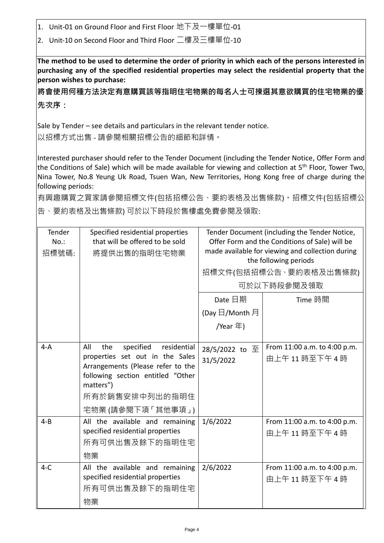1. Unit-01 on Ground Floor and First Floor 地下及一樓單位-01

2. Unit-10 on Second Floor and Third Floor 二樓及三樓單位-10

**The method to be used to determine the order of priority in which each of the persons interested in purchasing any of the specified residential properties may select the residential property that the person wishes to purchase:** 

**將會使用何種方法決定有意購買該等指明住宅物業的每名人士可揀選其意欲購買的住宅物業的優 先次序:**

Sale by Tender – see details and particulars in the relevant tender notice. 以招標方式出售 - 請參閱相關招標公告的細節和詳情。

Interested purchaser should refer to the Tender Document (including the Tender Notice, Offer Form and the Conditions of Sale) which will be made available for viewing and collection at 5<sup>th</sup> Floor, Tower Two, Nina Tower, No.8 Yeung Uk Road, Tsuen Wan, New Territories, Hong Kong free of charge during the following periods:

有興趣購買之買家請參閱招標文件(包括招標公告、要約表格及出售條款)。招標文件(包括招標公 告、要約表格及出售條款) 可於以下時段於售樓處免費參閱及領取:

| Tender<br>$No.$ :<br>招標號碼: | Specified residential properties<br>that will be offered to be sold<br>將提供出售的指明住宅物業                                                                                                                      | Tender Document (including the Tender Notice,<br>Offer Form and the Conditions of Sale) will be<br>made available for viewing and collection during<br>the following periods<br>招標文件(包括招標公告、要約表格及出售條款)<br>可於以下時段參閱及領取<br>Date 日期<br>Time 時間 |                                             |  |
|----------------------------|----------------------------------------------------------------------------------------------------------------------------------------------------------------------------------------------------------|---------------------------------------------------------------------------------------------------------------------------------------------------------------------------------------------------------------------------------------------|---------------------------------------------|--|
|                            |                                                                                                                                                                                                          | (Day $\boxdot$ /Month 月<br>/Year 年)                                                                                                                                                                                                         |                                             |  |
| $4-A$                      | specified<br>residential<br>All<br>the<br>properties set out in the Sales<br>Arrangements (Please refer to the<br>following section entitled "Other<br>matters")<br>所有於銷售安排中列出的指明住<br>宅物業 (請參閱下項 「其他事項」) | 28/5/2022 to 至<br>31/5/2022                                                                                                                                                                                                                 | From 11:00 a.m. to 4:00 p.m.<br>由上午11時至下午4時 |  |
| $4 - B$                    | All the available and remaining<br>specified residential properties<br>所有可供出售及餘下的指明住宅<br>物業                                                                                                              | 1/6/2022                                                                                                                                                                                                                                    | From 11:00 a.m. to 4:00 p.m.<br>由上午11時至下午4時 |  |
| $4-C$                      | All the available and remaining<br>specified residential properties<br>所有可供出售及餘下的指明住宅<br>物業                                                                                                              | 2/6/2022                                                                                                                                                                                                                                    | From 11:00 a.m. to 4:00 p.m.<br>由上午11時至下午4時 |  |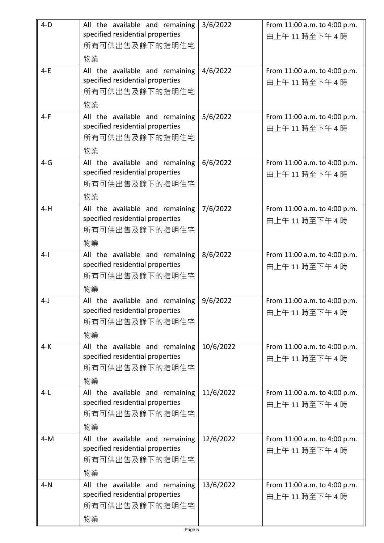| $4-D$ | All the available and remaining<br>specified residential properties<br>所有可供出售及餘下的指明住宅<br>物業 | 3/6/2022  | From 11:00 a.m. to 4:00 p.m.<br>由上午11 時至下午4時 |
|-------|---------------------------------------------------------------------------------------------|-----------|----------------------------------------------|
| $4-E$ | All the available and remaining<br>specified residential properties<br>所有可供出售及餘下的指明住宅<br>物業 | 4/6/2022  | From 11:00 a.m. to 4:00 p.m.<br>由上午11時至下午4時  |
| $4-F$ | All the available and remaining<br>specified residential properties<br>所有可供出售及餘下的指明住宅<br>物業 | 5/6/2022  | From 11:00 a.m. to 4:00 p.m.<br>由上午11時至下午4時  |
| $4-G$ | All the available and remaining<br>specified residential properties<br>所有可供出售及餘下的指明住宅<br>物業 | 6/6/2022  | From 11:00 a.m. to 4:00 p.m.<br>由上午11時至下午4時  |
| $4-H$ | All the available and remaining<br>specified residential properties<br>所有可供出售及餘下的指明住宅<br>物業 | 7/6/2022  | From 11:00 a.m. to 4:00 p.m.<br>由上午11時至下午4時  |
| $4-1$ | All the available and remaining<br>specified residential properties<br>所有可供出售及餘下的指明住宅<br>物業 | 8/6/2022  | From 11:00 a.m. to 4:00 p.m.<br>由上午11時至下午4時  |
| $4-J$ | All the available and remaining<br>specified residential properties<br>所有可供出售及餘下的指明住宅<br>物業 | 9/6/2022  | From 11:00 a.m. to 4:00 p.m.<br>由上午11時至下午4時  |
| $4-K$ | All the available and remaining<br>specified residential properties<br>所有可供出售及餘下的指明住宅<br>物業 | 10/6/2022 | From 11:00 a.m. to 4:00 p.m.<br>由上午11時至下午4時  |
| $4-L$ | All the available and remaining<br>specified residential properties<br>所有可供出售及餘下的指明住宅<br>物業 | 11/6/2022 | From 11:00 a.m. to 4:00 p.m.<br>由上午11時至下午4時  |
| $4-M$ | All the available and remaining<br>specified residential properties<br>所有可供出售及餘下的指明住宅<br>物業 | 12/6/2022 | From 11:00 a.m. to 4:00 p.m.<br>由上午11時至下午4時  |
| $4-N$ | All the available and remaining<br>specified residential properties<br>所有可供出售及餘下的指明住宅<br>物業 | 13/6/2022 | From 11:00 a.m. to 4:00 p.m.<br>由上午11時至下午4時  |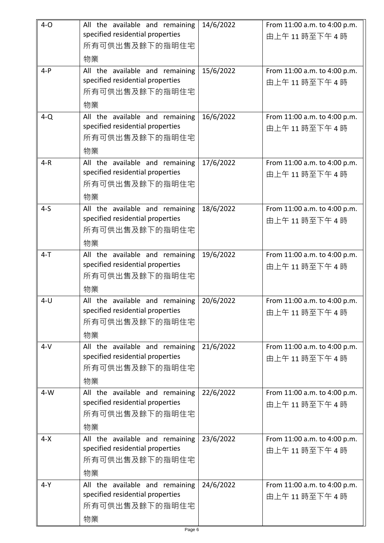| $4-0$   | All the available and remaining<br>specified residential properties<br>所有可供出售及餘下的指明住宅             | 14/6/2022 | From 11:00 a.m. to 4:00 p.m.<br>由上午11時至下午4時 |
|---------|---------------------------------------------------------------------------------------------------|-----------|---------------------------------------------|
| $4-P$   | 物業<br>All the available and remaining<br>specified residential properties<br>所有可供出售及餘下的指明住宅<br>物業 | 15/6/2022 | From 11:00 a.m. to 4:00 p.m.<br>由上午11時至下午4時 |
| $4-Q$   | All the available and remaining<br>specified residential properties<br>所有可供出售及餘下的指明住宅<br>物業       | 16/6/2022 | From 11:00 a.m. to 4:00 p.m.<br>由上午11時至下午4時 |
| $4-R$   | All the available and remaining<br>specified residential properties<br>所有可供出售及餘下的指明住宅<br>物業       | 17/6/2022 | From 11:00 a.m. to 4:00 p.m.<br>由上午11時至下午4時 |
| $4-5$   | All the available and remaining<br>specified residential properties<br>所有可供出售及餘下的指明住宅<br>物業       | 18/6/2022 | From 11:00 a.m. to 4:00 p.m.<br>由上午11時至下午4時 |
| $4 - T$ | All the available and remaining<br>specified residential properties<br>所有可供出售及餘下的指明住宅<br>物業       | 19/6/2022 | From 11:00 a.m. to 4:00 p.m.<br>由上午11時至下午4時 |
| $4 - U$ | All the available and remaining<br>specified residential properties<br>所有可供出售及餘下的指明住宅<br>物業       | 20/6/2022 | From 11:00 a.m. to 4:00 p.m.<br>由上午11時至下午4時 |
| $4-V$   | All the available and remaining<br>specified residential properties<br>所有可供出售及餘下的指明住宅<br>物業       | 21/6/2022 | From 11:00 a.m. to 4:00 p.m.<br>由上午11時至下午4時 |
| $4-W$   | All the available and remaining<br>specified residential properties<br>所有可供出售及餘下的指明住宅<br>物業       | 22/6/2022 | From 11:00 a.m. to 4:00 p.m.<br>由上午11時至下午4時 |
| $4 - X$ | All the available and remaining<br>specified residential properties<br>所有可供出售及餘下的指明住宅<br>物業       | 23/6/2022 | From 11:00 a.m. to 4:00 p.m.<br>由上午11時至下午4時 |
| 4-Y     | All the available and remaining<br>specified residential properties<br>所有可供出售及餘下的指明住宅<br>物業       | 24/6/2022 | From 11:00 a.m. to 4:00 p.m.<br>由上午11時至下午4時 |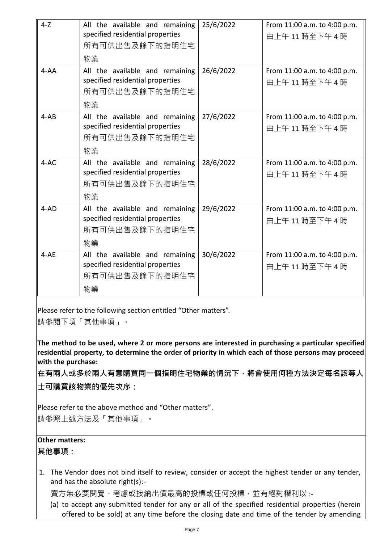| $4-Z$    | All the available and remaining  | 25/6/2022 | From 11:00 a.m. to 4:00 p.m. |
|----------|----------------------------------|-----------|------------------------------|
|          | specified residential properties |           | 由上午11時至下午4時                  |
|          | 所有可供出售及餘下的指明住宅                   |           |                              |
|          | 物業                               |           |                              |
| $4 - AA$ | All the available and remaining  | 26/6/2022 | From 11:00 a.m. to 4:00 p.m. |
|          | specified residential properties |           | 由上午11時至下午4時                  |
|          | 所有可供出售及餘下的指明住宅                   |           |                              |
|          | 物業                               |           |                              |
| $4-AB$   | All the available and remaining  | 27/6/2022 | From 11:00 a.m. to 4:00 p.m. |
|          | specified residential properties |           | 由上午11時至下午4時                  |
|          | 所有可供出售及餘下的指明住宅                   |           |                              |
|          | 物業                               |           |                              |
| $4 - AC$ | All the available and remaining  | 28/6/2022 | From 11:00 a.m. to 4:00 p.m. |
|          | specified residential properties |           | 由上午11時至下午4時                  |
|          | 所有可供出售及餘下的指明住宅                   |           |                              |
|          | 物業                               |           |                              |
| $4 - AD$ | All the available and remaining  | 29/6/2022 | From 11:00 a.m. to 4:00 p.m. |
|          | specified residential properties |           | 由上午11時至下午4時                  |
|          | 所有可供出售及餘下的指明住宅                   |           |                              |
|          | 物業                               |           |                              |
| $4-AE$   | All the available and remaining  | 30/6/2022 | From 11:00 a.m. to 4:00 p.m. |
|          | specified residential properties |           | 由上午11時至下午4時                  |
|          | 所有可供出售及餘下的指明住宅                   |           |                              |
|          | 物業                               |           |                              |

Please refer to the following section entitled "Other matters".

請參閱下項「其他事項」。

**The method to be used, where 2 or more persons are interested in purchasing a particular specified residential property, to determine the order of priority in which each of those persons may proceed with the purchase:**

**在有兩人或多於兩人有意購買同一個指明住宅物業的情況下,將會使用何種方法決定每名該等人**

**士可購買該物業的優先次序:**

Please refer to the above method and "Other matters". 請參照上述方法及「其他事項」。

## **Other matters:**

**其他事項:**

1. The Vendor does not bind itself to review, consider or accept the highest tender or any tender, and has the absolute right(s):-

賣方無必要閱覽、考慮或接納出價最高的投標或任何投標,並有絕對權利以:-

(a) to accept any submitted tender for any or all of the specified residential properties (herein offered to be sold) at any time before the closing date and time of the tender by amending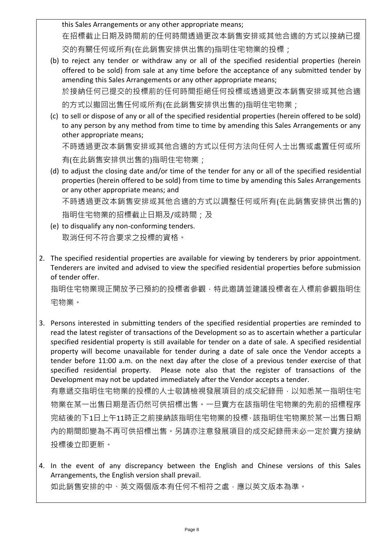this Sales Arrangements or any other appropriate means;

在招標截止日期及時間前的任何時間透過更改本銷售安排或其他合適的方式以接納已提

交的有關任何或所有(在此銷售安排供出售的)指明住宅物業的投標;

(b) to reject any tender or withdraw any or all of the specified residential properties (herein offered to be sold) from sale at any time before the acceptance of any submitted tender by amending this Sales Arrangements or any other appropriate means; 於接納任何已提交的投標前的任何時間拒絕任何投標或透過更改本銷售安排或其他合適

的方式以撤回出售任何或所有(在此銷售安排供出售的)指明住宅物業;

(c) to sell or dispose of any or all of the specified residential properties (herein offered to be sold) to any person by any method from time to time by amending this Sales Arrangements or any other appropriate means; 不時透過更改本銷售安排或其他合適的方式以任何方法向任何人士出售或處置任何或所

有(在此銷售安排供出售的)指明住宅物業;

(d) to adjust the closing date and/or time of the tender for any or all of the specified residential properties (herein offered to be sold) from time to time by amending this Sales Arrangements or any other appropriate means; and 不時透過更改本銷售安排或其他合適的方式以調整任何或所有(在此銷售安排供出售的)

指明住宅物業的招標截止日期及/或時間;及

- (e) to disqualify any non-conforming tenders. 取消任何不符合要求之投標的資格。
- 2. The specified residential properties are available for viewing by tenderers by prior appointment. Tenderers are invited and advised to view the specified residential properties before submission of tender offer.

指明住宅物業現正開放予已預約的投標者參觀,特此邀請並建議投標者在入標前參觀指明住 宅物業。

3. Persons interested in submitting tenders of the specified residential properties are reminded to read the latest register of transactions of the Development so as to ascertain whether a particular specified residential property is still available for tender on a date of sale. A specified residential property will become unavailable for tender during a date of sale once the Vendor accepts a tender before 11:00 a.m. on the next day after the close of a previous tender exercise of that specified residential property. Please note also that the register of transactions of the Development may not be updated immediately after the Vendor accepts a tender. 有意遞交指明住宅物業的投標的人士敬請檢視發展項目的成交紀錄冊,以知悉某一指明住宅 物業在某一出售日期是否仍然可供招標出售。一旦賣方在該指明住宅物業的先前的招標程序 完結後的下1日上午11時正之前接納該指明住宅物業的投標,該指明住宅物業於某一出售日期

內的期間即變為不再可供招標出售。另請亦注意發展項目的成交紀錄冊未必一定於賣方接納 投標後立即更新。

4. In the event of any discrepancy between the English and Chinese versions of this Sales Arrangements, the English version shall prevail. 如此銷售安排的中、英文兩個版本有任何不相符之處,應以英文版本為準。